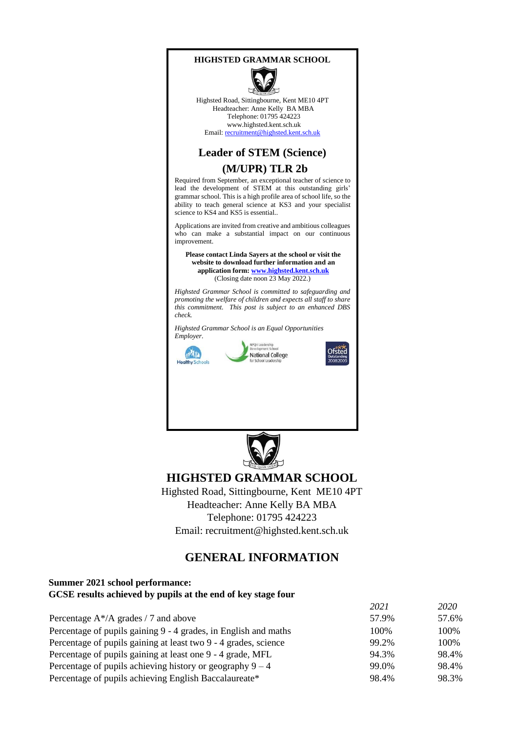#### **HIGHSTED GRAMMAR SCHOOL**



Highsted Road, Sittingbourne, Kent ME10 4PT Headteacher: Anne Kelly BA MBA Telephone: 01795 424223 www.highsted.kent.sch.uk Email: recruitment@highsted.kent.sch.uk

#### **Leader of STEM (Science)**

### **(M/UPR) TLR 2b**

Required from September, an exceptional teacher of science to lead the development of STEM at this outstanding girls' grammar school. This is a high profile area of school life, so the ability to teach general science at KS3 and your specialist science to KS4 and KS5 is essential...

Applications are invited from creative and ambitious colleagues who can make a substantial impact on our continuous improvement.

**Please contact Linda Sayers at the school or visit the website to download further information and an application for[m: www.highsted.kent.sch.uk](http://www.highsted.kent.sch.uk/)** (Closing date noon 23 May 2022.)

*Highsted Grammar School is committed to safeguarding and promoting the welfare of children and expects all staff to share this commitment. This post is subject to an enhanced DBS check.* 

*Highsted Grammar School is an Equal Opportunities Employer.* 









## **HIGHSTED GRAMMAR SCHOOL**

Highsted Road, Sittingbourne, Kent ME10 4PT Headteacher: Anne Kelly BA MBA Telephone: 01795 424223 Email: recruitment@highsted.kent.sch.uk

# **GENERAL INFORMATION**

#### **Summer 2021 school performance: GCSE results achieved by pupils at the end of key stage four**

|                                                                 | 2021  | 2020  |
|-----------------------------------------------------------------|-------|-------|
| Percentage $A^*/A$ grades / 7 and above                         | 57.9% | 57.6% |
| Percentage of pupils gaining 9 - 4 grades, in English and maths | 100%  | 100\% |
| Percentage of pupils gaining at least two 9 - 4 grades, science | 99.2% | 100%  |
| Percentage of pupils gaining at least one 9 - 4 grade, MFL      | 94.3% | 98.4% |
| Percentage of pupils achieving history or geography $9 - 4$     | 99.0% | 98.4% |
| Percentage of pupils achieving English Baccalaureate*           | 98.4% | 98.3% |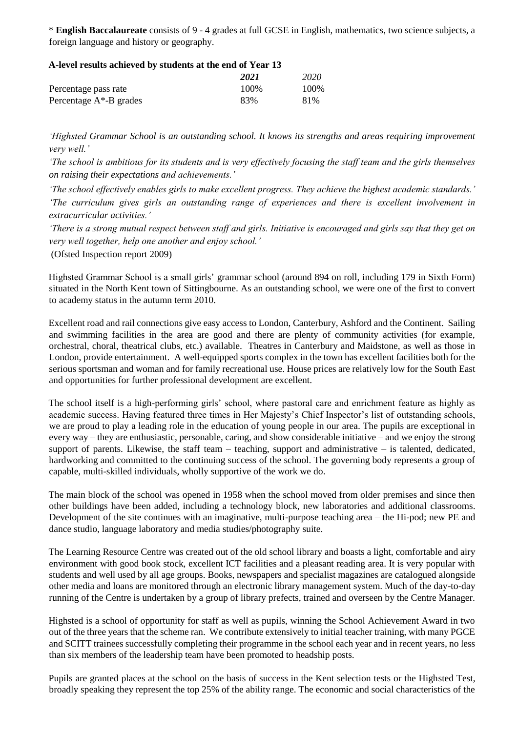\* **English Baccalaureate** consists of 9 - 4 grades at full GCSE in English, mathematics, two science subjects, a foreign language and history or geography.

| A-level results achieved by students at the end of Year 13 |       |       |
|------------------------------------------------------------|-------|-------|
|                                                            | 2021  | 2020  |
| Percentage pass rate                                       | 100\% | 100\% |
| Percentage $A^*$ -B grades                                 | 83%   | 81%   |

### *'Highsted Grammar School is an outstanding school. It knows its strengths and areas requiring improvement very well.'*

*'The school is ambitious for its students and is very effectively focusing the staff team and the girls themselves on raising their expectations and achievements.'* 

*'The school effectively enables girls to make excellent progress. They achieve the highest academic standards.' 'The curriculum gives girls an outstanding range of experiences and there is excellent involvement in extracurricular activities.'* 

*'There is a strong mutual respect between staff and girls. Initiative is encouraged and girls say that they get on very well together, help one another and enjoy school.'* 

(Ofsted Inspection report 2009)

Highsted Grammar School is a small girls' grammar school (around 894 on roll, including 179 in Sixth Form) situated in the North Kent town of Sittingbourne. As an outstanding school, we were one of the first to convert to academy status in the autumn term 2010.

Excellent road and rail connections give easy access to London, Canterbury, Ashford and the Continent. Sailing and swimming facilities in the area are good and there are plenty of community activities (for example, orchestral, choral, theatrical clubs, etc.) available. Theatres in Canterbury and Maidstone, as well as those in London, provide entertainment. A well-equipped sports complex in the town has excellent facilities both for the serious sportsman and woman and for family recreational use. House prices are relatively low for the South East and opportunities for further professional development are excellent.

The school itself is a high-performing girls' school, where pastoral care and enrichment feature as highly as academic success. Having featured three times in Her Majesty's Chief Inspector's list of outstanding schools, we are proud to play a leading role in the education of young people in our area. The pupils are exceptional in every way – they are enthusiastic, personable, caring, and show considerable initiative – and we enjoy the strong support of parents. Likewise, the staff team – teaching, support and administrative – is talented, dedicated, hardworking and committed to the continuing success of the school. The governing body represents a group of capable, multi-skilled individuals, wholly supportive of the work we do.

The main block of the school was opened in 1958 when the school moved from older premises and since then other buildings have been added, including a technology block, new laboratories and additional classrooms. Development of the site continues with an imaginative, multi-purpose teaching area – the Hi-pod; new PE and dance studio, language laboratory and media studies/photography suite.

The Learning Resource Centre was created out of the old school library and boasts a light, comfortable and airy environment with good book stock, excellent ICT facilities and a pleasant reading area. It is very popular with students and well used by all age groups. Books, newspapers and specialist magazines are catalogued alongside other media and loans are monitored through an electronic library management system. Much of the day-to-day running of the Centre is undertaken by a group of library prefects, trained and overseen by the Centre Manager.

Highsted is a school of opportunity for staff as well as pupils, winning the School Achievement Award in two out of the three years that the scheme ran. We contribute extensively to initial teacher training, with many PGCE and SCITT trainees successfully completing their programme in the school each year and in recent years, no less than six members of the leadership team have been promoted to headship posts.

Pupils are granted places at the school on the basis of success in the Kent selection tests or the Highsted Test, broadly speaking they represent the top 25% of the ability range. The economic and social characteristics of the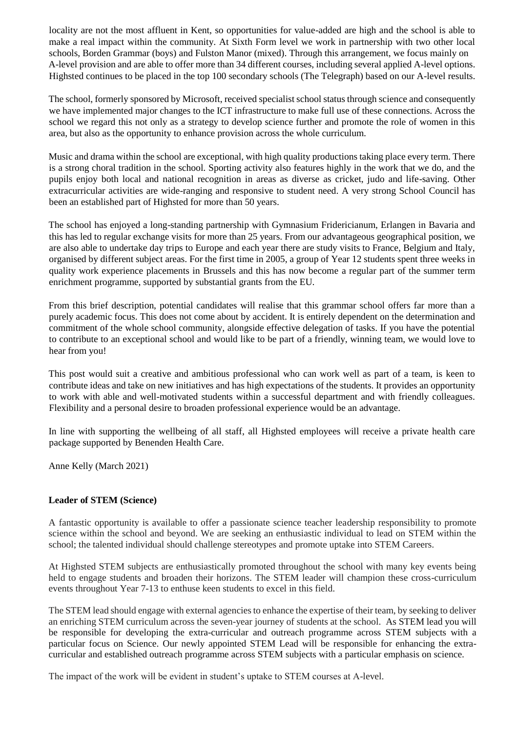locality are not the most affluent in Kent, so opportunities for value-added are high and the school is able to make a real impact within the community. At Sixth Form level we work in partnership with two other local schools, Borden Grammar (boys) and Fulston Manor (mixed). Through this arrangement, we focus mainly on A-level provision and are able to offer more than 34 different courses, including several applied A-level options. Highsted continues to be placed in the top 100 secondary schools (The Telegraph) based on our A-level results.

The school, formerly sponsored by Microsoft, received specialist school status through science and consequently we have implemented major changes to the ICT infrastructure to make full use of these connections. Across the school we regard this not only as a strategy to develop science further and promote the role of women in this area, but also as the opportunity to enhance provision across the whole curriculum.

Music and drama within the school are exceptional, with high quality productions taking place every term. There is a strong choral tradition in the school. Sporting activity also features highly in the work that we do, and the pupils enjoy both local and national recognition in areas as diverse as cricket, judo and life-saving. Other extracurricular activities are wide-ranging and responsive to student need. A very strong School Council has been an established part of Highsted for more than 50 years.

The school has enjoyed a long-standing partnership with Gymnasium Fridericianum, Erlangen in Bavaria and this has led to regular exchange visits for more than 25 years. From our advantageous geographical position, we are also able to undertake day trips to Europe and each year there are study visits to France, Belgium and Italy, organised by different subject areas. For the first time in 2005, a group of Year 12 students spent three weeks in quality work experience placements in Brussels and this has now become a regular part of the summer term enrichment programme, supported by substantial grants from the EU.

From this brief description, potential candidates will realise that this grammar school offers far more than a purely academic focus. This does not come about by accident. It is entirely dependent on the determination and commitment of the whole school community, alongside effective delegation of tasks. If you have the potential to contribute to an exceptional school and would like to be part of a friendly, winning team, we would love to hear from you!

This post would suit a creative and ambitious professional who can work well as part of a team, is keen to contribute ideas and take on new initiatives and has high expectations of the students. It provides an opportunity to work with able and well-motivated students within a successful department and with friendly colleagues. Flexibility and a personal desire to broaden professional experience would be an advantage.

In line with supporting the wellbeing of all staff, all Highsted employees will receive a private health care package supported by Benenden Health Care.

Anne Kelly (March 2021)

#### **Leader of STEM (Science)**

A fantastic opportunity is available to offer a passionate science teacher leadership responsibility to promote science within the school and beyond. We are seeking an enthusiastic individual to lead on STEM within the school; the talented individual should challenge stereotypes and promote uptake into STEM Careers.

At Highsted STEM subjects are enthusiastically promoted throughout the school with many key events being held to engage students and broaden their horizons. The STEM leader will champion these cross-curriculum events throughout Year 7-13 to enthuse keen students to excel in this field.

The STEM lead should engage with external agencies to enhance the expertise of their team, by seeking to deliver an enriching STEM curriculum across the seven-year journey of students at the school. As STEM lead you will be responsible for developing the extra-curricular and outreach programme across STEM subjects with a particular focus on Science. Our newly appointed STEM Lead will be responsible for enhancing the extracurricular and established outreach programme across STEM subjects with a particular emphasis on science.

The impact of the work will be evident in student's uptake to STEM courses at A-level.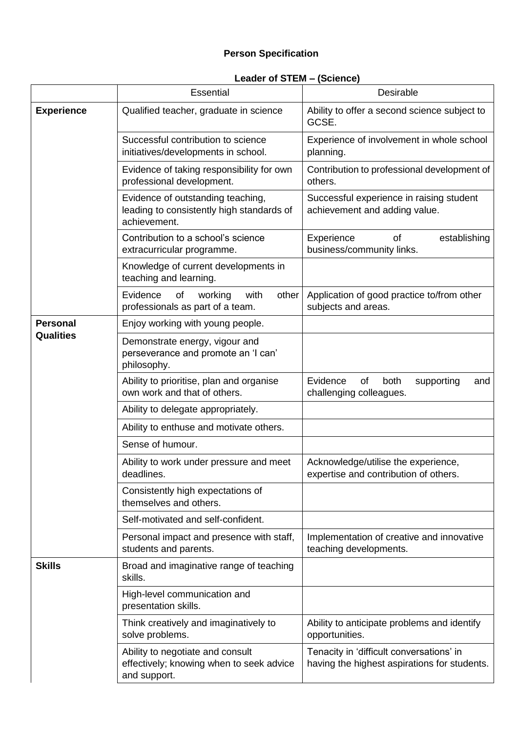## **Person Specification**

# **Leader of STEM – (Science)**

|                   | <b>Essential</b>                                                                               | Desirable                                                                                |
|-------------------|------------------------------------------------------------------------------------------------|------------------------------------------------------------------------------------------|
| <b>Experience</b> | Qualified teacher, graduate in science                                                         | Ability to offer a second science subject to<br>GCSE.                                    |
|                   | Successful contribution to science<br>initiatives/developments in school.                      | Experience of involvement in whole school<br>planning.                                   |
|                   | Evidence of taking responsibility for own<br>professional development.                         | Contribution to professional development of<br>others.                                   |
|                   | Evidence of outstanding teaching,<br>leading to consistently high standards of<br>achievement. | Successful experience in raising student<br>achievement and adding value.                |
|                   | Contribution to a school's science<br>extracurricular programme.                               | establishing<br>Experience<br>οf<br>business/community links.                            |
|                   | Knowledge of current developments in<br>teaching and learning.                                 |                                                                                          |
|                   | Evidence<br>of<br>working<br>with<br>other<br>professionals as part of a team.                 | Application of good practice to/from other<br>subjects and areas.                        |
| <b>Personal</b>   | Enjoy working with young people.                                                               |                                                                                          |
| <b>Qualities</b>  | Demonstrate energy, vigour and<br>perseverance and promote an 'I can'<br>philosophy.           |                                                                                          |
|                   | Ability to prioritise, plan and organise<br>own work and that of others.                       | Evidence<br>of<br>both<br>supporting<br>and<br>challenging colleagues.                   |
|                   | Ability to delegate appropriately.                                                             |                                                                                          |
|                   | Ability to enthuse and motivate others.                                                        |                                                                                          |
|                   | Sense of humour.                                                                               |                                                                                          |
|                   | Ability to work under pressure and meet<br>deadlines.                                          | Acknowledge/utilise the experience,<br>expertise and contribution of others.             |
|                   | Consistently high expectations of<br>themselves and others.                                    |                                                                                          |
|                   | Self-motivated and self-confident.                                                             |                                                                                          |
|                   | Personal impact and presence with staff,<br>students and parents.                              | Implementation of creative and innovative<br>teaching developments.                      |
| <b>Skills</b>     | Broad and imaginative range of teaching<br>skills.                                             |                                                                                          |
|                   | High-level communication and<br>presentation skills.                                           |                                                                                          |
|                   | Think creatively and imaginatively to<br>solve problems.                                       | Ability to anticipate problems and identify<br>opportunities.                            |
|                   | Ability to negotiate and consult<br>effectively; knowing when to seek advice<br>and support.   | Tenacity in 'difficult conversations' in<br>having the highest aspirations for students. |